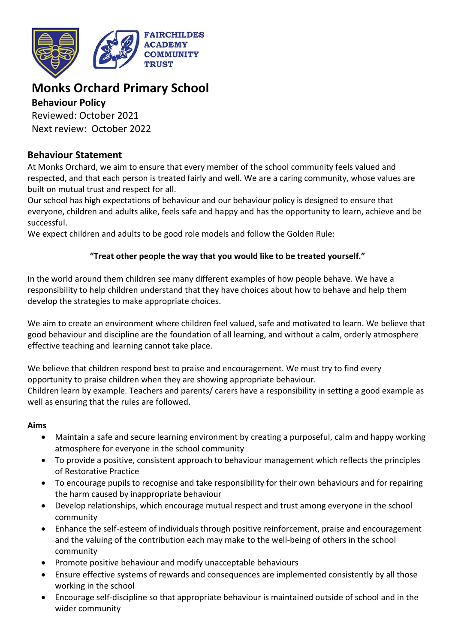

# **Monks Orchard Primary School**

# **Behaviour Policy**

Reviewed: October 2021 Next review: October 2022

# **Behaviour Statement**

At Monks Orchard, we aim to ensure that every member of the school community feels valued and respected, and that each person is treated fairly and well. We are a caring community, whose values are built on mutual trust and respect for all.

Our school has high expectations of behaviour and our behaviour policy is designed to ensure that everyone, children and adults alike, feels safe and happy and has the opportunity to learn, achieve and be successful.

We expect children and adults to be good role models and follow the Golden Rule:

# **"Treat other people the way that you would like to be treated yourself."**

In the world around them children see many different examples of how people behave. We have a responsibility to help children understand that they have choices about how to behave and help them develop the strategies to make appropriate choices.

We aim to create an environment where children feel valued, safe and motivated to learn. We believe that good behaviour and discipline are the foundation of all learning, and without a calm, orderly atmosphere effective teaching and learning cannot take place.

We believe that children respond best to praise and encouragement. We must try to find every opportunity to praise children when they are showing appropriate behaviour.

Children learn by example. Teachers and parents/ carers have a responsibility in setting a good example as well as ensuring that the rules are followed.

# **Aims**

- Maintain a safe and secure learning environment by creating a purposeful, calm and happy working atmosphere for everyone in the school community
- To provide a positive, consistent approach to behaviour management which reflects the principles of Restorative Practice
- To encourage pupils to recognise and take responsibility for their own behaviours and for repairing the harm caused by inappropriate behaviour
- Develop relationships, which encourage mutual respect and trust among everyone in the school community
- Enhance the self-esteem of individuals through positive reinforcement, praise and encouragement and the valuing of the contribution each may make to the well-being of others in the school community
- Promote positive behaviour and modify unacceptable behaviours
- Ensure effective systems of rewards and consequences are implemented consistently by all those working in the school
- Encourage self-discipline so that appropriate behaviour is maintained outside of school and in the wider community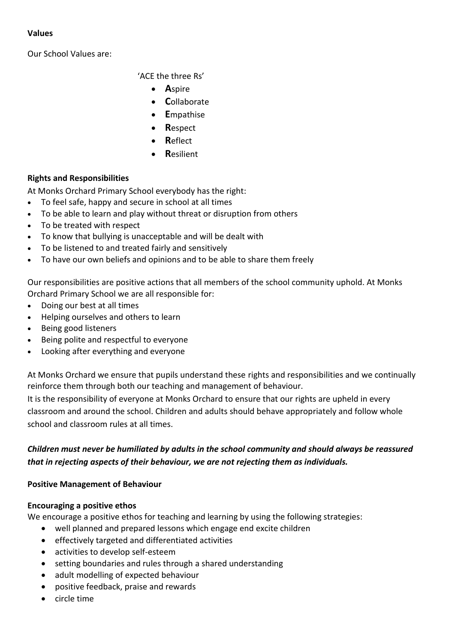#### **Values**

Our School Values are:

'ACE the three Rs'

- **A**spire
- **C**ollaborate
- **E**mpathise
- **R**espect
- **R**eflect
- **R**esilient

# **Rights and Responsibilities**

At Monks Orchard Primary School everybody has the right:

- To feel safe, happy and secure in school at all times
- To be able to learn and play without threat or disruption from others
- To be treated with respect
- To know that bullying is unacceptable and will be dealt with
- To be listened to and treated fairly and sensitively
- To have our own beliefs and opinions and to be able to share them freely

Our responsibilities are positive actions that all members of the school community uphold. At Monks Orchard Primary School we are all responsible for:

- Doing our best at all times
- Helping ourselves and others to learn
- Being good listeners
- Being polite and respectful to everyone
- Looking after everything and everyone

At Monks Orchard we ensure that pupils understand these rights and responsibilities and we continually reinforce them through both our teaching and management of behaviour.

It is the responsibility of everyone at Monks Orchard to ensure that our rights are upheld in every classroom and around the school. Children and adults should behave appropriately and follow whole school and classroom rules at all times.

# *Children must never be humiliated by adults in the school community and should always be reassured that in rejecting aspects of their behaviour, we are not rejecting them as individuals.*

# **Positive Management of Behaviour**

#### **Encouraging a positive ethos**

We encourage a positive ethos for teaching and learning by using the following strategies:

- well planned and prepared lessons which engage end excite children
- effectively targeted and differentiated activities
- activities to develop self-esteem
- setting boundaries and rules through a shared understanding
- adult modelling of expected behaviour
- positive feedback, praise and rewards
- circle time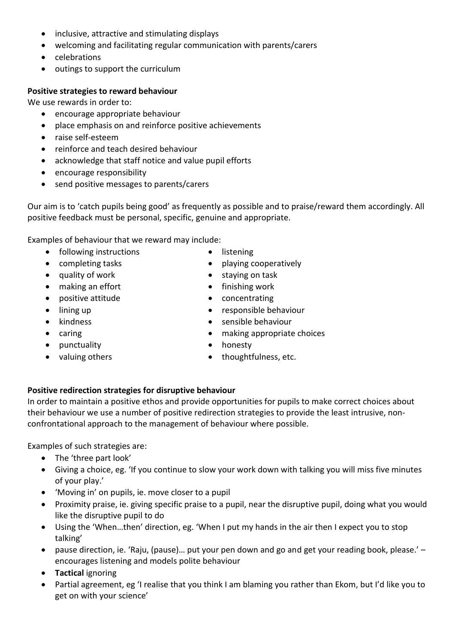- inclusive, attractive and stimulating displays
- welcoming and facilitating regular communication with parents/carers
- celebrations
- outings to support the curriculum

#### **Positive strategies to reward behaviour**

We use rewards in order to:

- encourage appropriate behaviour
- place emphasis on and reinforce positive achievements
- raise self-esteem
- reinforce and teach desired behaviour
- acknowledge that staff notice and value pupil efforts
- encourage responsibility
- send positive messages to parents/carers

Our aim is to 'catch pupils being good' as frequently as possible and to praise/reward them accordingly. All positive feedback must be personal, specific, genuine and appropriate.

Examples of behaviour that we reward may include:

- following instructions
- completing tasks
- quality of work
- making an effort
- positive attitude
- lining up
- kindness
- caring
- punctuality
- valuing others
- **listening**
- playing cooperatively
- staying on task
- finishing work
- concentrating
- responsible behaviour
- sensible behaviour
- making appropriate choices
- honesty
- thoughtfulness, etc.

#### **Positive redirection strategies for disruptive behaviour**

In order to maintain a positive ethos and provide opportunities for pupils to make correct choices about their behaviour we use a number of positive redirection strategies to provide the least intrusive, nonconfrontational approach to the management of behaviour where possible.

Examples of such strategies are:

- The 'three part look'
- Giving a choice, eg. 'If you continue to slow your work down with talking you will miss five minutes of your play.'
- 'Moving in' on pupils, ie. move closer to a pupil
- Proximity praise, ie. giving specific praise to a pupil, near the disruptive pupil, doing what you would like the disruptive pupil to do
- Using the 'When…then' direction, eg. 'When I put my hands in the air then I expect you to stop talking'
- pause direction, ie. 'Raju, (pause)… put your pen down and go and get your reading book, please.' encourages listening and models polite behaviour
- **Tactical** ignoring
- Partial agreement, eg 'I realise that you think I am blaming you rather than Ekom, but I'd like you to get on with your science'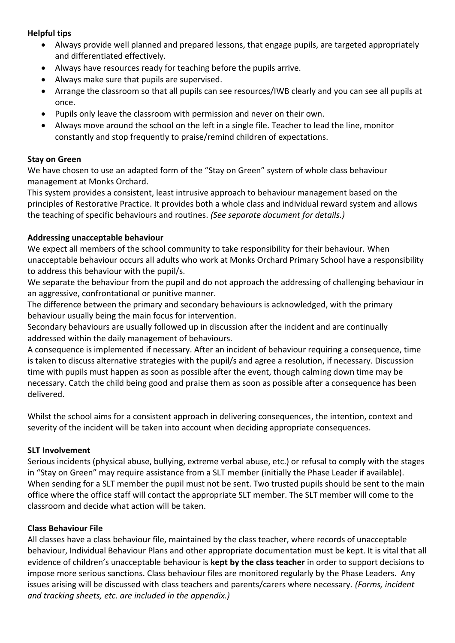#### **Helpful tips**

- Always provide well planned and prepared lessons, that engage pupils, are targeted appropriately and differentiated effectively.
- Always have resources ready for teaching before the pupils arrive.
- Always make sure that pupils are supervised.
- Arrange the classroom so that all pupils can see resources/IWB clearly and you can see all pupils at once.
- Pupils only leave the classroom with permission and never on their own.
- Always move around the school on the left in a single file. Teacher to lead the line, monitor constantly and stop frequently to praise/remind children of expectations.

#### **Stay on Green**

We have chosen to use an adapted form of the "Stay on Green" system of whole class behaviour management at Monks Orchard.

This system provides a consistent, least intrusive approach to behaviour management based on the principles of Restorative Practice. It provides both a whole class and individual reward system and allows the teaching of specific behaviours and routines. *(See separate document for details.)*

#### **Addressing unacceptable behaviour**

We expect all members of the school community to take responsibility for their behaviour. When unacceptable behaviour occurs all adults who work at Monks Orchard Primary School have a responsibility to address this behaviour with the pupil/s.

We separate the behaviour from the pupil and do not approach the addressing of challenging behaviour in an aggressive, confrontational or punitive manner.

The difference between the primary and secondary behaviours is acknowledged, with the primary behaviour usually being the main focus for intervention.

Secondary behaviours are usually followed up in discussion after the incident and are continually addressed within the daily management of behaviours.

A consequence is implemented if necessary. After an incident of behaviour requiring a consequence, time is taken to discuss alternative strategies with the pupil/s and agree a resolution, if necessary. Discussion time with pupils must happen as soon as possible after the event, though calming down time may be necessary. Catch the child being good and praise them as soon as possible after a consequence has been delivered.

Whilst the school aims for a consistent approach in delivering consequences, the intention, context and severity of the incident will be taken into account when deciding appropriate consequences.

#### **SLT Involvement**

Serious incidents (physical abuse, bullying, extreme verbal abuse, etc.) or refusal to comply with the stages in "Stay on Green" may require assistance from a SLT member (initially the Phase Leader if available). When sending for a SLT member the pupil must not be sent. Two trusted pupils should be sent to the main office where the office staff will contact the appropriate SLT member. The SLT member will come to the classroom and decide what action will be taken.

#### **Class Behaviour File**

All classes have a class behaviour file, maintained by the class teacher, where records of unacceptable behaviour, Individual Behaviour Plans and other appropriate documentation must be kept. It is vital that all evidence of children's unacceptable behaviour is **kept by the class teacher** in order to support decisions to impose more serious sanctions. Class behaviour files are monitored regularly by the Phase Leaders. Any issues arising will be discussed with class teachers and parents/carers where necessary. *(Forms, incident and tracking sheets, etc. are included in the appendix.)*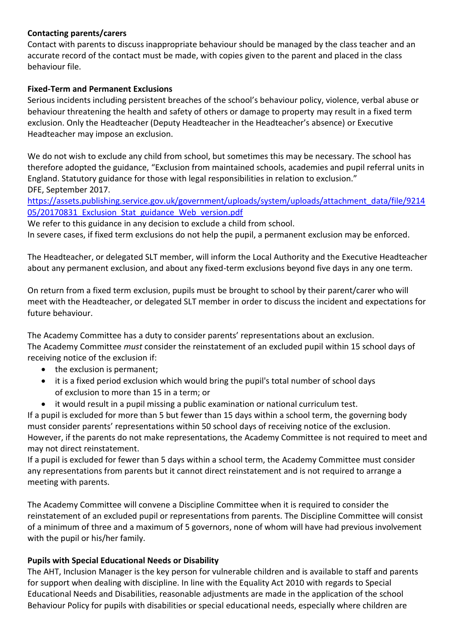#### **Contacting parents/carers**

Contact with parents to discuss inappropriate behaviour should be managed by the class teacher and an accurate record of the contact must be made, with copies given to the parent and placed in the class behaviour file.

## **Fixed-Term and Permanent Exclusions**

Serious incidents including persistent breaches of the school's behaviour policy, violence, verbal abuse or behaviour threatening the health and safety of others or damage to property may result in a fixed term exclusion. Only the Headteacher (Deputy Headteacher in the Headteacher's absence) or Executive Headteacher may impose an exclusion.

We do not wish to exclude any child from school, but sometimes this may be necessary. The school has therefore adopted the guidance, "Exclusion from maintained schools, academies and pupil referral units in England. Statutory guidance for those with legal responsibilities in relation to exclusion." DFE, September 2017.

[https://assets.publishing.service.gov.uk/government/uploads/system/uploads/attachment\\_data/file/9214](https://assets.publishing.service.gov.uk/government/uploads/system/uploads/attachment_data/file/921405/20170831_Exclusion_Stat_guidance_Web_version.pdf) 05/20170831 Exclusion Stat guidance Web version.pdf

We refer to this guidance in any decision to exclude a child from school.

In severe cases, if fixed term exclusions do not help the pupil, a permanent exclusion may be enforced.

The Headteacher, or delegated SLT member, will inform the Local Authority and the Executive Headteacher about any permanent exclusion, and about any fixed-term exclusions beyond five days in any one term.

On return from a fixed term exclusion, pupils must be brought to school by their parent/carer who will meet with the Headteacher, or delegated SLT member in order to discuss the incident and expectations for future behaviour.

The Academy Committee has a duty to consider parents' representations about an exclusion. The Academy Committee *must* consider the reinstatement of an excluded pupil within 15 school days of receiving notice of the exclusion if:

- the exclusion is permanent;
- it is a fixed period exclusion which would bring the pupil's total number of school days of exclusion to more than 15 in a term; or
- it would result in a pupil missing a public examination or national curriculum test.

If a pupil is excluded for more than 5 but fewer than 15 days within a school term, the governing body must consider parents' representations within 50 school days of receiving notice of the exclusion. However, if the parents do not make representations, the Academy Committee is not required to meet and may not direct reinstatement.

If a pupil is excluded for fewer than 5 days within a school term, the Academy Committee must consider any representations from parents but it cannot direct reinstatement and is not required to arrange a meeting with parents.

The Academy Committee will convene a Discipline Committee when it is required to consider the reinstatement of an excluded pupil or representations from parents. The Discipline Committee will consist of a minimum of three and a maximum of 5 governors, none of whom will have had previous involvement with the pupil or his/her family.

# **Pupils with Special Educational Needs or Disability**

The AHT, Inclusion Manager is the key person for vulnerable children and is available to staff and parents for support when dealing with discipline. In line with the Equality Act 2010 with regards to Special Educational Needs and Disabilities, reasonable adjustments are made in the application of the school Behaviour Policy for pupils with disabilities or special educational needs, especially where children are